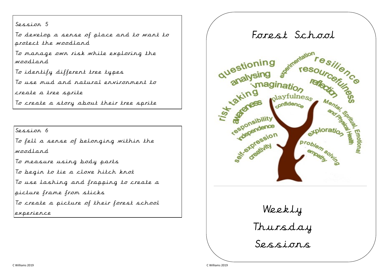Session 5

To develop a sense of place and to want to protect the woodland

To manage own risk while exploring the woodland

To identify different tree types

To use mud and natural environment to

create a tree sprite

To create a story about their tree sprite

Session 6

To fell a sense of belonging within the woodland

To measure using body parts

To begin to tie a clove hitch knot

To use lashing and frapping to create a

picture frame from sticks

To create a picture of their forest school

experience